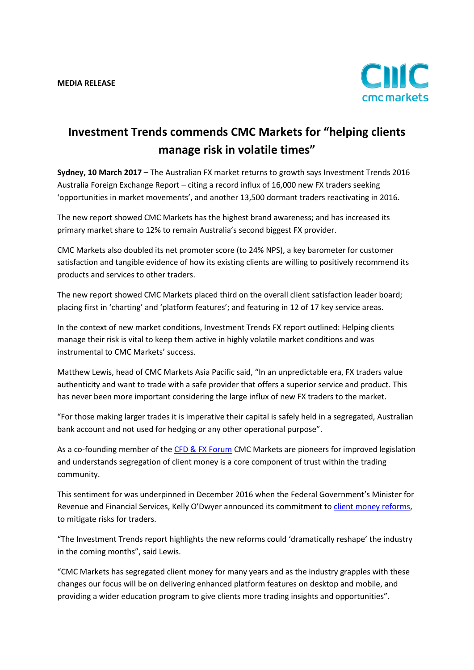

## **Investment Trends commends CMC Markets for "helping clients manage risk in volatile times"**

**Sydney, 10 March 2017** – The Australian FX market returns to growth says Investment Trends 2016 Australia Foreign Exchange Report – citing a record influx of 16,000 new FX traders seeking 'opportunities in market movements', and another 13,500 dormant traders reactivating in 2016.

The new report showed CMC Markets has the highest brand awareness; and has increased its primary market share to 12% to remain Australia's second biggest FX provider.

CMC Markets also doubled its net promoter score (to 24% NPS), a key barometer for customer satisfaction and tangible evidence of how its existing clients are willing to positively recommend its products and services to other traders.

The new report showed CMC Markets placed third on the overall client satisfaction leader board; placing first in 'charting' and 'platform features'; and featuring in 12 of 17 key service areas.

In the context of new market conditions, Investment Trends FX report outlined: Helping clients manage their risk is vital to keep them active in highly volatile market conditions and was instrumental to CMC Markets' success.

Matthew Lewis, head of CMC Markets Asia Pacific said, "In an unpredictable era, FX traders value authenticity and want to trade with a safe provider that offers a superior service and product. This has never been more important considering the large influx of new FX traders to the market.

"For those making larger trades it is imperative their capital is safely held in a segregated, Australian bank account and not used for hedging or any other operational purpose".

As a co-founding member of the [CFD & FX Forum](http://cfdfxforum.com.au/) CMC Markets are pioneers for improved legislation and understands segregation of client money is a core component of trust within the trading community.

This sentiment for was underpinned in December 2016 when the Federal Government's Minister for Revenue and Financial Services, Kelly O'Dwyer announced its commitment to [client money reforms,](http://kmo.ministers.treasury.gov.au/media-release/107-2016/) to mitigate risks for traders.

"The Investment Trends report highlights the new reforms could 'dramatically reshape' the industry in the coming months", said Lewis.

"CMC Markets has segregated client money for many years and as the industry grapples with these changes our focus will be on delivering enhanced platform features on desktop and mobile, and providing a wider education program to give clients more trading insights and opportunities".